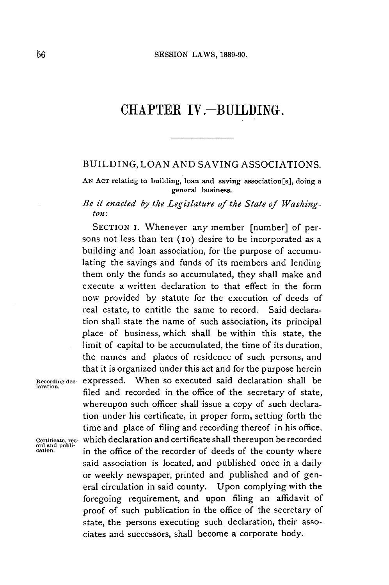## CHAPTER IV.-BUILDING.

## **BUILDING, LOAN AND** SAVING ASSOCIATIONS.

**AN AcT** relating to building, loan and saving association[s], doing a general business.

## *Be it enacted by the Legislature of the State of Washington:*

SECTION **I.** Whenever any member [number] of persons not less than ten (10) desire to be incorporated as a building and loan association, for the purpose of accumulating the savings and funds of its members and lending them only the funds so accumulated, they shall make and execute a written declaration to that effect in the form now provided **by** statute for the execution of deeds of real estate, to entitle the same to record. Said declaration shall state the name of such association, its principal place of business, which shall be within this state, the limit of capital to be accumulated, the time of its duration, the names and places of residence of such persons, and that it is organized under this act and for the purpose herein **Recording dec-** expressed. When so executed said declaration shall be **laration.** filed and recorded in the office of the secretary of state, whereupon such officer shall issue a copy of such declaration under his certificate, in proper form, setting forth the time and place of filing and recording thereof in his office, **Certificate, rec-** which declaration and certificate shall thereupon be recorded **ord and publi**in the office of the recorder of deeds of the county where said association is located, and published once in a daily or weekly newspaper, printed and published and of general circulation in said county. Upon complying with the foregoing requirement, and upon filing an affidavit of proof of such publication in the office of the secretary of state, the persons executing such declaration, their associates and successors, shall become a corporate body.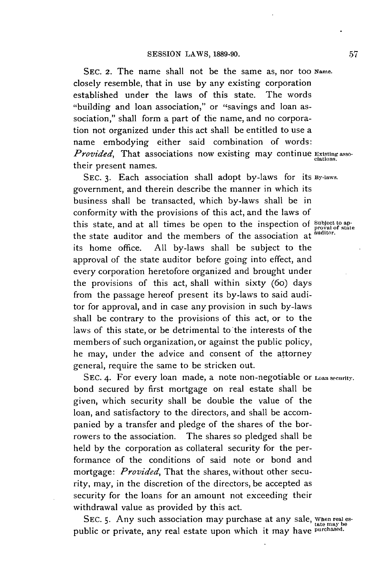**SEC. 2.** The name shall not be the same as, nor too **Name.** closely resemble, that in use **by** any existing corporation established under the laws of this state. The words "building and loan association," or "savings and loan association," shall form a part of the name, and no corporation not organized under this act shall be entitled to use a name embodying either said combination of words: *Provided,* That associations now existing may continue **Existingasso**ciations. their present names.

**SEC. 3.** Each association shall adopt by-laws for its **By-laws.** government, and therein describe the manner in which its business shall be transacted, which by-laws shall be in conformity with the provisions of this act, and the laws of this state, and at all times be open to the inspection of **Subject** to apthe state auditor and the members of the association at **auditor.** its home office. **All** by-laws shall be subject to the approval of the state auditor before going into effect, and every corporation heretofore organized and brought under the provisions of this act, shall within sixty (6o) days from the passage hereof present its by-laws to said auditor for approval, and in case any provision in such by-laws shall be contrary to the provisions of this act, or to the laws of this state, or be detrimental to the interests of the members of such organization, or against the public policy, he may, under the advice and consent of the attorney general, require the same to be stricken out.

**SEC.** 4. For every loan made, a note non-negotiable or **Loan security.** bond secured **by** first mortgage on real estate shall be given, which security shall be double the value of the loan, and satisfactory to the directors, and shall be accompanied **by** a transfer and pledge of the shares of the borrowers to the association. The shares so pledged shall be held **by** the corporation as collateral security for the performance of the conditions of said note or bond and *mortgage: Provided,* That the shares, without other security, may, in the discretion of the directors, be accepted as security for the loans for an amount not exceeding their withdrawal value as provided **by** this act.

SEC. 5. Any such association may purchase at any sale, when real espublic or private, any real estate upon which it may have **purchased**.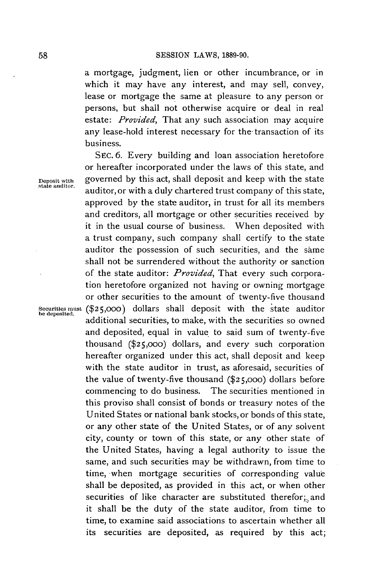a mortgage, judgment, lien or other incumbrance, or in which it may have any interest, and may sell, convey, lease or mortgage the same at pleasure to any person or persons, but shall not otherwise acquire or deal in real estate: *Provided,* That any such association may acquire any lease-hold interest necessary for the transaction of its business.

**SEC. 6.** Every building and loan association heretofore or hereafter incorporated under the laws of this state, and **Deposit with** governed **by** this act, shall deposit and keep with the state **state auditor.** auditor, or with a duly chartered trust company of this state, approved **by** the state auditor, in trust for all its members and creditors, all mortgage or other securities received **by it** in the usual course of business. When deposited with a trust company, such company shall certify to the state auditor the possession of such securities, and the same shall not be surrendered without the authority or sanction of the state auditor: *Provided,* That every such corporation heretofore organized not having or owning mortgage or other securities to the amount of twenty-five thousand **Securities must (\$25,000)** dollars shall deposit with the state auditor **he deposited.** additional securities, to make, with the securities so owned and deposited, equal in value to said sum of twenty-five thousand **(\$25,ooo)** dollars, and every such corporation hereafter organized under this act, shall deposit and keep with the state auditor in trust, as aforesaid, securities of the value of twenty-five thousand **(\$25,ooo)** dollars before commencing to do business. The securities mentioned in this proviso shall consist of bonds or treasury notes of the United States or national bank stocks, or bonds of this state, or any other state of the United States, or of any solvent city, county or town of this state, or any other state of the United States, having a legal authority to issue the same, and such securities may be withdrawn, from time to time, when mortgage securities of corresponding value shall be deposited, as provided in this act, or when other securities of like character are substituted therefor; and it shall be the duty of the state auditor, from time to time, to examine said associations to ascertain whether all its securities are deposited, as required **by** this act;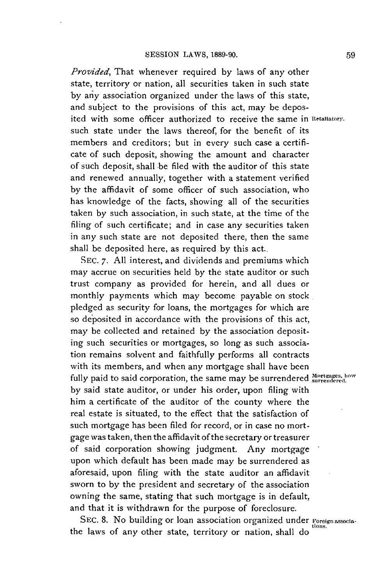*Provided,* That whenever required **by** laws of any other state, territory or nation, all securities taken in such state **by** any association organized under the laws of this state, and subject to the provisions of this act, may be deposited with some officer authorized to receive the same in Retaliatory. such state under the laws thereof, for the benefit of its members and creditors; but in every such case a certificate of such deposit, showing the amount and character of such deposit, shall be filed with the auditor of this state and renewed annually, together with a statement verified **by** the affidavit of some officer of such association, who has knowledge of the facts, showing all of the securities taken **by** such association, in such state, at the time of the filing of such certificate; and in case any securities taken in any such state are not deposited there, then the same shall be deposited here, as required **by** this act..

**SEC. 7. All** interest, and dividends and premiums which may accrue on securities held **by** the state auditor or such trust company as provided for herein, and all dues or monthly payments which may become payable on stock. pledged as security for loans, the mortgages for which are so deposited in accordance with the provisions of this act, may be collected and retained **by** the association deposit**ing** such securities or mortgages, so long as such association remains solvent and faithfully performs all contracts with its members, and when any mortgage shall have been fully paid to said corporation, the same may be surrendered Mortgages, how **by** said state auditor, or under his order, upon filing with him a certificate of the auditor of the county where the real estate is situated, to the effect that the satisfaction of such mortgage has been filed for record, or in case no mortgage was taken, then the affidavit of the secretary or treasurer of said corporation showing judgment. Any mortgage upon which default has been made may be surrendered as aforesaid, upon filing with the state auditor an affidavit sworn to **by** the president and secretary of the association owning the same, stating that such mortgage is in default, and that it is withdrawn for the purpose of foreclosure.

SEC. 8. No building or loan association organized under Foreign associathe laws of any other state, territory or nation, shall do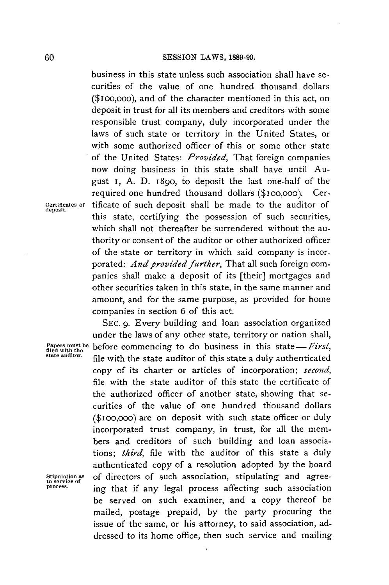business in this state unless such association shall have securities of the value of one hundred thousand dollars (\$ioo,ooo), and of the character mentioned in this act, on deposit in trust for all its members and creditors with some responsible trust company, duly incorporated under the laws of such state or territory in the United States, or with some authorized officer of this or some other state of the United States: *Provided,* That foreign companies now doing business in this state shall have until August i, **A. D.** 1890, to deposit the last one-half of the required one hundred thousand dollars (\$ioo,ooo). Cer-**Certificates of** tificate of such deposit shall be made to the auditor of **deposit.** this state, certifying the possession of such securities, which shall not thereafter be surrendered without the authority or consent of the auditor or other authorized officer of the state or territory in which said company is incorporated: *And provided further*, That all such foreign companies shall make a deposit of its [their] mortgages and other securities taken in this state, in the same manner and amount, and for the same purpose, as provided for home companies in section **6** of this act.

**SEc.** *9.* Every building and loan association organized under the laws of any other state, territory or nation shall, Papers must be before commencing to do business in this state—First, filed with the state auditor of this state a duly authenticated state and it with the state auditor of this state a duly authenticated copy of its charter or articles of incorporation; *second,* file with the state auditor of this state the certificate of the authorized officer of another state, showing that securities of the value of one hundred thousand dollars (\$Ioo,ooo) are on deposit with such state officer or duly incorporated trust company, in trust, for all the members and creditors of such building and loan associations; *third,* file with the auditor of this state a duly authenticated copy of a resolution adopted **by** the board **Stipulation as** of directors of such association, stipulating and agree- **to service of process.** ing that if any legal process affecting such association be served on such examiner, and a copy thereof be mailed, postage prepaid, **by** the party procuring the issue of the same, or his attorney, to said association, addressed to its home office, then such service and mailing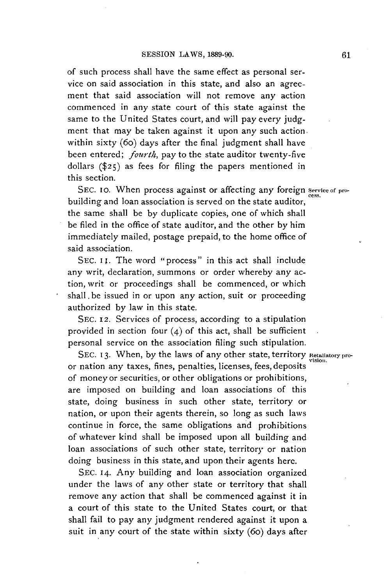of such process shall have the same effect as personal service on said association in this state, and also an agreement that said association will not remove any action commenced in any state court of this state against the same to the United States court, and will pay every **judg**ment that may be taken against it upon any such action. within sixty (6o) days after the final judgment shall have been entered; *fourth,* pay to the state auditor twenty-five dollars **(\$25)** as fees for filing the papers mentioned in this section.

SEC. 10. When process against or affecting any foreign service of probuilding and loan association is served on the state auditor, the same shall be **by** duplicate copies, one of which shall be filed in the office of state auditor, and the other **by** him immediately mailed, postage prepaid, to the home office of said association.

SEC. II. The word "process" in this act shall include any writ, declaration, summons or order whereby any action, writ or proceedings shall be commenced, or which shall.be issued in or upon any action, suit or proceeding authorized **by** law in this state.

**SEC.** 12. Services of process, according to a stipulation provided in section four (4) **of** this act, shall be sufficient personal service on the association filing such stipulation.

SEC. 13. When, by the laws of any other state, territory Retallatory proor nation any taxes, fines, penalties, licenses, fees, deposits of money or securities, or other obligations or prohibitions, are imposed on building and loan associations of this state, doing business in such other state, territory or nation, or upon their agents therein, so long as such laws continue in force, the same obligations and prohibitions of whatever kind shall be imposed upon all building and loan associations of such other state, territory or nation doing business in this state, and upon their agents here.

**SEC.** 14. Any building and loan association organized under the laws of any other state or territory that shall remove any action that shall be commenced against it in a court of this state to the United States court, or that shall fail to pay any judgment rendered against it upon a suit in any court of the state within sixty (6o) days after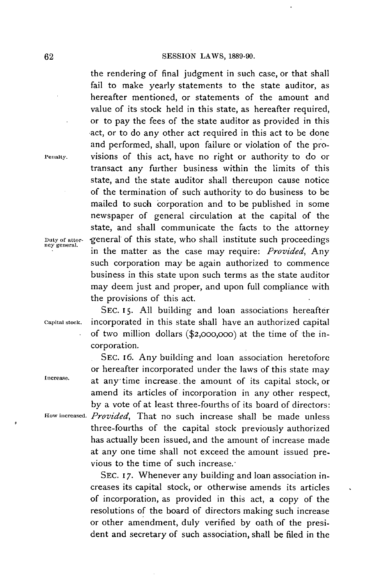the rendering of final judgment in such case, or that shall fail to make yearly statements to the state auditor, as hereafter mentioned, or statements of the amount and value of its stock held in this state, as hereafter required, or to pay the fees of the state auditor as provided in this act, or to do any other act required in this act to be done and performed, shall, upon failure or violation of the pro**renalty.** visions of this act, have no right or authority to do or transact any further business within the limits of this state, and the state auditor shall thereupon cause notice of the termination of such authority to do business to be mailed to such corporation and to be published in some newspaper of general circulation at the capital of the state, and shall communicate the facts to the attorney **uty of attor-** general of this state, who shall institute such proceedings **ney general.** in the matter as the case may require: *Provided, Any* such corporation may be again authorized to commence business in this state upon such terms as the state auditor may deem just and proper, and upon full compliance with the provisions of this act.

SEC. 15. All building and loan associations hereafter **Capital stock.** incorporated in this state shall have an authorized capital **of** two million dollars **(\$2,000,000)** at the time of the incorporation.

**SEC.** 16. Any building and loan association heretofore or hereafter incorporated under the laws of this state may **Increase.** at any time increase. the amount of its capital stock, or amend its articles of incorporation in any other respect, **by** a vote of at least three-fourths of its board of directors: **flow increased.** *Provided,* That no such increase shall be made unless three-fourths of the capital stock previously authorized has actually been issued, and the amount of increase made at any one time shall not exceed the amount issued previous to the time of such increase.

> **SEC. 17.** Whenever any building and loan association **increases** its capital stock, or otherwise amends its articles of incorporation, as provided in this act, a copy of the resolutions of the board of directors making such increase or other amendment, duly verified **by** oath of the president and secretary of such association, shall **be** filed in the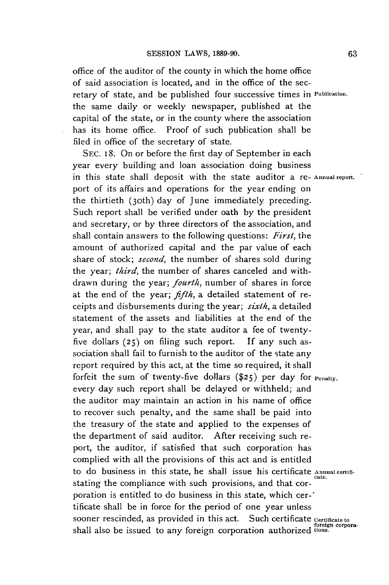office of the auditor of the county in which the home office of said association is located, and in the office of the secretary of state, and be published four successive times in **Publication.** the same daily or weekly newspaper, published at the capital of the state, or in the county where the association has its home office. Proof of such publication shall be filed in office of the secretary of state.

**SEC. I8.** On or before the first day of September in each year every building and loan association doing business in this state shall deposit with the state auditor a re- **Annual report.** port of its affairs and operations for the year ending on the thirtieth (30th) day of June immediately preceding. Such report shall be verified under oath **by** the president and secretary, or **by** three directors of the association, and shall contain answers to the following questions: *First, the* amount of authorized capital and the par value of each share of stock; *second,* the number of shares sold during the year; *third,* the number of shares canceled and withdrawn during the year; *fourth,* number of shares in force at the end of the year; *fifth,* a detailed statement of receipts and disbursements during the year; *sixth,* a detailed statement of the assets and liabilities at the end of the year, and shall pay to the state auditor a fee of twentyfive dollars **(25)** on filing such report. **If** any such association shall fail to furnish to the auditor of the state any report required **by** this act, at the time so required, it shall forfeit the sum of twenty-five dollars **(\$25)** per day for **renaly.** every day such report shall be delayed or withheld; and the auditor may maintain an action in his name of office to recover such penalty, and the same shall be paid into the treasury of the state and applied to the expenses of the department of said auditor. After receiving such report, the auditor, if satisfied that such corporation has complied with all the provisions of this act and is entitled to do business in this state, he shall issue his certificate **Annual certifi**stating the compliance with such provisions, and that corporation is entitled to do business in this state, which cer-' tificate shall be in force for the period of one year unless sooner rescinded, as provided in this act. Such certificate *certificate to*<br>shall also be issued to any foreign corporation authorized tions.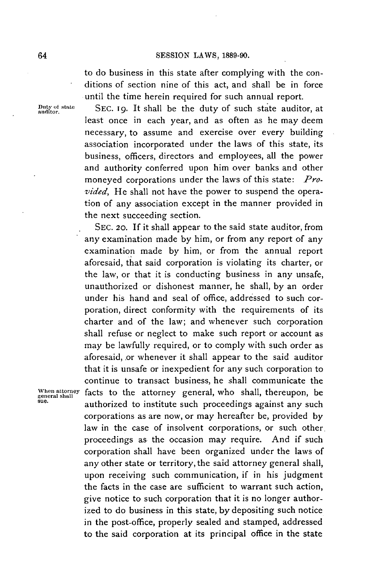to do business in this state after complying with the conditions of section nine of this act, and shall be in force until the time herein required for such annual report.

Duty of state SEC. 19. It shall be the duty of such state auditor, at least once in each year, and as often as he may deem necessary, to assume and exercise over every building association incorporated under the laws of this state, its business, officers, directors and employees, all the power and authority conferred upon him over banks and other moneyed corporations under the laws of this state: *Provided,* He shall not have the power to suspend the operation of any association except in the manner provided in the next succeeding section.

**SEc.** 20. **If** it shall appear to the said state auditor, from any examination made **by** him, or from any report of any examination made **by** him, or from the annual report aforesaid, that said corporation is violating its charter, or the law, or that it is conducting business in any unsafe, unauthorized or dishonest manner, he shall, **by** an order under his hand and seal of office, addressed to such corporation, direct conformity with the requirements of its charter and of the law; and whenever such corporation shall refuse or neglect to make such report or account as may be lawfully required, or to comply with such order as aforesaid, or whenever it shall appear to the said auditor that it is unsafe or inexpedient for any such corporation to continue to transact business, he shall communicate the When attorney facts to the attorney general, who shall, thereupon, be general shall<br>sue.<br>**gue** antenna's attorney to institute such precessarings expirat any such **sue.** authorized to institute such proceedings against any such corporations as are now, or may hereafter be, provided **by** law in the case of insolvent corporations, or such other. proceedings as the occasion may require. And if such corporation shall have been organized under the laws of any other state or territory, the said attorney general shall, upon receiving such communication, if in his judgment the facts in the case are sufficient to warrant such action, give notice to such corporation that it is no longer authorized to do business in this state, **by** depositing such notice in the post-office, properly sealed and stamped, addressed to the said corporation at its principal office in the state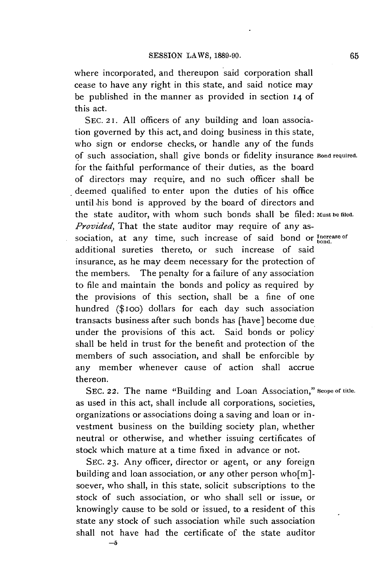where incorporated, and thereupon said corporation shall cease to have any right in this state, and said notice may be published in the manner as provided in section 14 **of** this act.

**SEC. 21. All** officers of any building and loan association governed **by** this act, and doing business in this state, who sign or endorse checks, or handle any of the funds of such association, shall give bonds or fidelity insurance **Bond required.** for the faithful performance of their duties, as the board of directors may require, and no such officer shall be deemed qualified to enter upon the duties of his office until .his bond is approved **by** the board of directors and the state auditor, with whom such bonds shall be filed: Must be filed. *Provided,* That the state auditor may require of any association, at any time, such increase of said bond or **Increase** of additional sureties thereto, or such increase of said insurance, as he may deem necessary for the protection of the members. The penalty for a failure of any association to file and maintain the bonds and policy as required **by** the provisions of this section, shall be a fine of one hundred **(\$ioo)** dollars for each day such association transacts business after such bonds has [have] become due under the provisions of this act. Said bonds or policy shall be held in trust for the benefit and protection of the members of such association, and shall be enforcible **by** any member whenever cause of action shall accrue thereon.

**SEC. 22.** The name "Building and Loan Association," **scope of title.** as used in this act, shall include all corporations, societies, organizations or associations doing a saving and loan or investment business on the building society plan, whether neutral or otherwise, and whether issuing certificates of stock which mature at a time fixed in advance or not.

**SEc. 23.** Any officer, director or agent, or any foreign building and loan association, or any other person who[m] soever, who shall, in this state, solicit subscriptions to the stock of such association, or who shall sell or issue, or knowingly cause to be sold or issued, to a resident of this state any stock of such association while such association shall not have had the certificate of the state auditor **-5**

**65**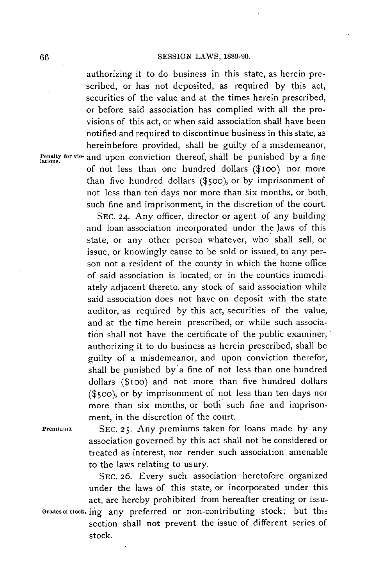authorizing it to do business in this state, as herein prescribed, or has not deposited, as required **by** this act, securities of the value and at the times herein prescribed, or before said association has complied with all the provisions of this act, or when said association shall have been notified and required to discontinue business in this state, as hereinbefore provided, shall **be** guilty of a misdemeanor, **Penalty for** vio- and upon conviction thereof, shall be punished **by** a fine **lations.** of not less than one hundred dollars (\$ioo) nor more than five hundred dollars **(\$500),** or **by** imprisonment of not less than ten days nor more than six months, or both. such fine and imprisonment, in the discretion of the court.

> **SEC. 24.** Any officer, director or agent of any building and loan association incorporated under the laws of this state, or any other person whatever, who shall sell, or issue, or knowingly cause to be sold or issued, to any person not a resident of the county in which the home office of said association is located, or in the counties immedi**ately** adjacent thereto, any stock of said association while said association does not have on deposit with the state auditor, as required **by** this act, securities of the value, and at the time herein prescribed, or while such association shall not have the certificate of the public examiner, authorizing it to do business as herein prescribed, shall be guilty of a misdemeanor, and upon conviction therefor, shall be punished **by** a fine of not less than one hundred dollars (\$ioo) and not more than five hundred dollars (\$500), or **by** imprisonment of not less than ten days nor more than six months, or both such fine and imprisonment, in the discretion of the court.

**Premiums. SEC. 25.** Any premiums taken for loans made **by** any association governed **by** this act shall not be considered or treated as interest, nor render such association amenable to the laws relating to usury.

**SEC. 26.** Every such association heretofore organized under the laws of this state, or incorporated under this act, are hereby prohibited from hereafter creating or issu-Grades of stock. ing any preferred or non-contributing stock; but this section shall not prevent the issue of different series of stock.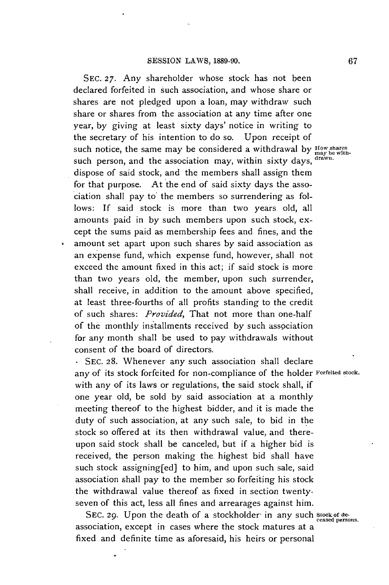**SEc. 27.** Any shareholder whose stock has not been declared forfeited in such association, and whose share or shares are not pledged upon a loan, may withdraw such share or shares from the association at any time after one year, **by** giving at least sixty days' notice in writing to the secretary of his intention to do so. Upon receipt of such notice, the same may be considered a withdrawal by  $f_{\text{may be with}}$ such person, and the association may, within sixty days, drawn. dispose of said stock, and the members shall assign them for that purpose. At the end of said sixty days the association shall pay to the members so surrendering as follows: **If** said stock is more than two years old, all amounts paid in **by** such members upon such stock, except the sums paid as membership fees and fines, and the amount set apart upon such shares **by** said association as an expense fund, which expense fund, however, shall not exceed the amount fixed in this act; if said stock is more than two years old, the member, upon such surrender, shall receive, in addition to the amount above specified, at least three-fourths of all profits standing to the credit of such shares: *Provided,* That not more than one-half of the monthly installments received **by** such association for any month shall be used to pay withdrawals without consent of the board of directors.

\* **SEC. 28.** Whenever any such association shall declare any of its stock forfeited for non-compliance of the holder **Forfeited stock.** with any of its laws or regulations, the said stock shall, if one year old, be sold **by** said association at a monthly meeting thereof to the highest bidder, and it is made the duty of such association, at any such sale, to bid in the stock so offered at its then withdrawal value, and thereupon said stock shall be canceled, but if a higher bid is received, the person making the. highest bid shall have such stock assigning[ed] to him, and upon such sale, said association shall pay to the member so forfeiting his stock the withdrawal value thereof as fixed in section twentyseven of this act, less all fines and arrearages against him.

SEC. 29. Upon the death of a stockholder in any such stock of deassociation, except in cases where the stock matures at a fixed and definite time as aforesaid, his heirs or personal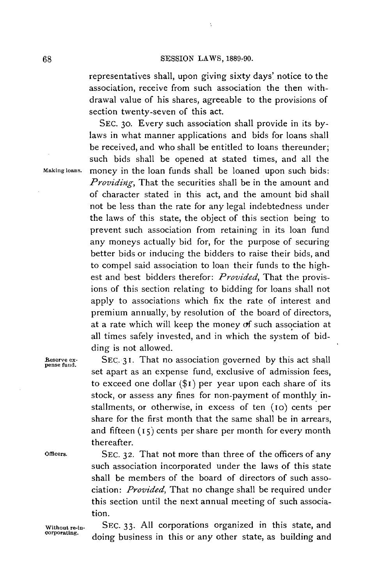$\bar{\mathbf{v}}$ 

representatives shall, upon giving sixty days' notice to the association, receive from such association the then withdrawal value of his shares, agreeable to the provisions of section twenty-seven of this act.

**SEC.** 30. Every such association shall provide in its **by**laws in what manner applications and bids for loans shall be received, and who shall be entitled to loans thereunder; such bids shall be opened at stated times, and all the **Makingloans.** money in the loan funds shall **be** loaned upon such bids: *Providing,* That the securities shall be in the amount and of character stated in this act, and the amount bid shall not be less than the rate for any legal indebtedness under the laws of this state, the object of this section being to prevent such association from retaining in its loan fund any moneys actually bid for, for the purpose of securing better bids or inducing the bidders to raise their bids, and to compel said association to loan their funds to the highest and best bidders therefor: *Provided,* That the provisions of this section relating to bidding for loans shall not apply to associations which fix the rate **of** interest and premium annually, **by** resolution of the board of directors, at a rate which will keep the money of such association at all times safely invested, and in which the system of bidding is not allowed.

**Reserve ex- SEC. 3 1.** That no association governed **by** this act shall pense fund. set apart as an expense fund, exclusive of admission fees, to exceed one dollar **(\$i)** per year upon each share of its stock, or assess any fines for non-payment of monthly installments, or otherwise, in excess of ten (io) cents per share for the first month that the same shall be in arrears, and fifteen **(15)** cents per share per month for every month thereafter.

**Officers. SEC. 32.** That not more than three of the officers of any such association incorporated under the laws of this state shall be members of the board of directors of such association: *Provided,* That no change shall be required under this section until the next annual meeting of such association.

**Without re-in- SEC. 33. All** corporations organized in this state, and **corporating.** doing business in this or any other state, as building and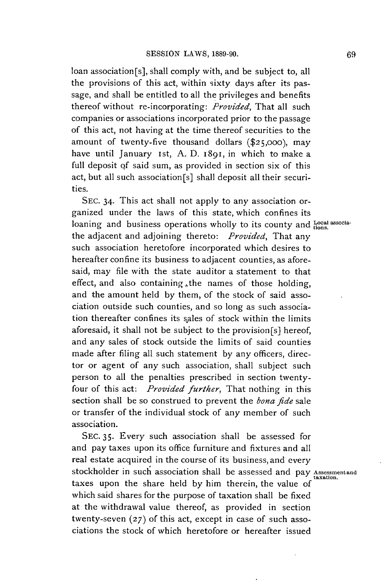loan association[s], shall comply with, and be subject to, all the provisions of this act, within sixty days after its passage, and shall be entitled to all the privileges and benefits thereof without re-incorporating: *Provided,* That all such companies or associations incorporated prior to the passage of this act, not having at the time thereof securities to the amount of twenty-five thousand dollars **(\$25,000),** may have until January ist, **A. D.** 1891, in which to make a full deposit **of** said sum, as provided in section six of this act, but all such association[s] shall deposit all their securities.

**SEC.** 34. This act shall not apply to any association organized under the laws of this state, which confines its loaning and business operations wholly to its county and Local associathe adjacent and adjoining thereto: *Provided,* That any such association heretofore incorporated which desires to hereafter confine its business to adjacent counties, as aforesaid, may file with the state auditor a statement to that effect, and also containing ,the names of those holding, and the amount held **by** them, of the stock of said association outside such counties, and so long as such association thereafter confines its sales of stock within the limits aforesaid, it shall not be subject to the provision[s] hereof, and any sales of stock outside the limits of said counties made after filing all such statement **by** any officers, director or agent of any such association, shall subject such person to all the penalties prescribed in section twentyfour of this act: *Provided further,* That nothing in this section shall be so construed to prevent the *bona fide* sale or transfer of the individual stock of any member of such association.

**SEC. 35.** Every such association shall be assessed for and pay taxes upon its office furniture and fixtures and all real estate acquired in the course of its business, and every stockholder in such association shall be assessed and pay Assessmentand taxes upon the share held **by** him therein, the value *of* which said shares for the purpose of taxation shall be fixed at the withdrawal value thereof, as provided in section twenty-seven **(27)** of this act, except in case of such associations the stock of which heretofore or hereafter issued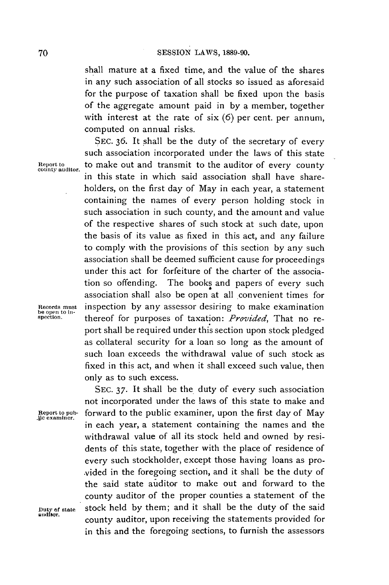shall mature at a fixed time, and the value of the shares in any such association of all stocks so issued as aforesaid for the purpose of taxation shall be fixed upon the basis of the aggregate amount paid in **by** a member, together with interest at the rate of six **(6)** per cent. per annum, computed on annual risks.

**SEC. 36.** It shall be the duty of the secretary of every such association incorporated under the laws of this state **Reportto** to make out and transmit to the auditor of every county **county auditor.** in this state in which said association shall have shareholders, on the first day of May in each year, a statement containing the names of every person holding stock in such association in such county, and the amount and value of the respective shares of such stock at such date, upon the basis of its value as fixed in this act, and any failure to comply with the provisions of this section **by** any such association shall be deemed sufficient cause for proceedings under this act for forfeiture of the charter of the association so offending. The books and papers of every such association shall also be open at all convenient times for **Records must** inspection **by** any assessor desiring to make examination thereof for purposes of taxation: *Provided*, That no report shall be required under this section upon stock pledged as collateral security for a loan so long as the amount of such loan exceeds the withdrawal value of such stock as fixed in this act, and when it shall exceed such value, then only as to such excess.

**SEC. 37.** It shall **be** the duty of every such association not incorporated under the laws of this state to make and Report to pub- forward to the public examiner, upon the first day of May lie examiner. in each year, a statement containing the names and the withdrawal value of all its stock held and owned **by** residents of this state, together with the place of residence of every such stockholder, except those having loans as provided in the foregoing section, and it shall be the duty of the said state auditor to make out and forward to the county auditor of the proper counties a statement of the Duty of state stock held by them; and it shall be the duty of the said county auditor, upon receiving the statements provided for in this and the foregoing sections, to furnish the assessors